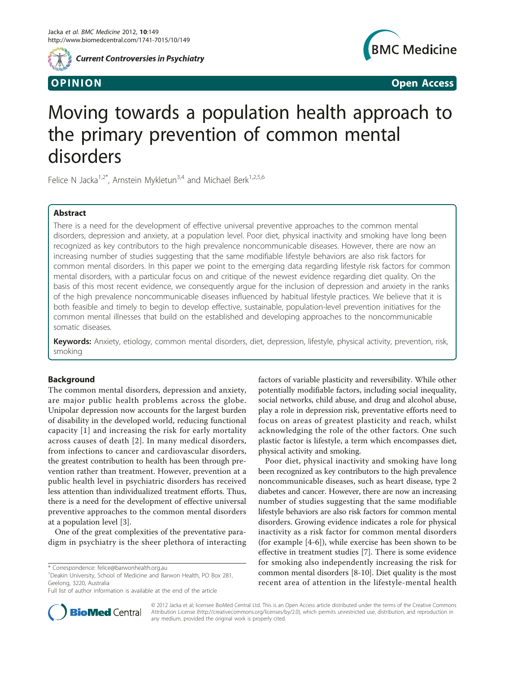

**Current Controversies in Psychiatry** 



OPINION Open Access

# Moving towards a population health approach to the primary prevention of common mental disorders

Felice N Jacka<sup>1,2\*</sup>, Arnstein Mykletun<sup>3,4</sup> and Michael Berk<sup>1,2,5,6</sup>

# Abstract

There is a need for the development of effective universal preventive approaches to the common mental disorders, depression and anxiety, at a population level. Poor diet, physical inactivity and smoking have long been recognized as key contributors to the high prevalence noncommunicable diseases. However, there are now an increasing number of studies suggesting that the same modifiable lifestyle behaviors are also risk factors for common mental disorders. In this paper we point to the emerging data regarding lifestyle risk factors for common mental disorders, with a particular focus on and critique of the newest evidence regarding diet quality. On the basis of this most recent evidence, we consequently argue for the inclusion of depression and anxiety in the ranks of the high prevalence noncommunicable diseases influenced by habitual lifestyle practices. We believe that it is both feasible and timely to begin to develop effective, sustainable, population-level prevention initiatives for the common mental illnesses that build on the established and developing approaches to the noncommunicable somatic diseases.

Keywords: Anxiety, etiology, common mental disorders, diet, depression, lifestyle, physical activity, prevention, risk, smoking

# Background

The common mental disorders, depression and anxiety, are major public health problems across the globe. Unipolar depression now accounts for the largest burden of disability in the developed world, reducing functional capacity [[1](#page-4-0)] and increasing the risk for early mortality across causes of death [[2](#page-4-0)]. In many medical disorders, from infections to cancer and cardiovascular disorders, the greatest contribution to health has been through prevention rather than treatment. However, prevention at a public health level in psychiatric disorders has received less attention than individualized treatment efforts. Thus, there is a need for the development of effective universal preventive approaches to the common mental disorders at a population level [[3\]](#page-4-0).

One of the great complexities of the preventative paradigm in psychiatry is the sheer plethora of interacting

<sup>1</sup> Deakin University, School of Medicine and Barwon Health, PO Box 281, Geelong, 3220, Australia



Poor diet, physical inactivity and smoking have long been recognized as key contributors to the high prevalence noncommunicable diseases, such as heart disease, type 2 diabetes and cancer. However, there are now an increasing number of studies suggesting that the same modifiable lifestyle behaviors are also risk factors for common mental disorders. Growing evidence indicates a role for physical inactivity as a risk factor for common mental disorders (for example [\[4](#page-4-0)-[6\]](#page-4-0)), while exercise has been shown to be effective in treatment studies [\[7](#page-4-0)]. There is some evidence for smoking also independently increasing the risk for common mental disorders [\[8](#page-4-0)-[10\]](#page-4-0). Diet quality is the most recent area of attention in the lifestyle-mental health



© 2012 Jacka et al; licensee BioMed Central Ltd. This is an Open Access article distributed under the terms of the Creative Commons Attribution License [\(http://creativecommons.org/licenses/by/2.0](http://creativecommons.org/licenses/by/2.0)), which permits unrestricted use, distribution, and reproduction in any medium, provided the original work is properly cited.

<sup>\*</sup> Correspondence: [felice@barwonhealth.org.au](mailto:felice@barwonhealth.org.au)

Full list of author information is available at the end of the article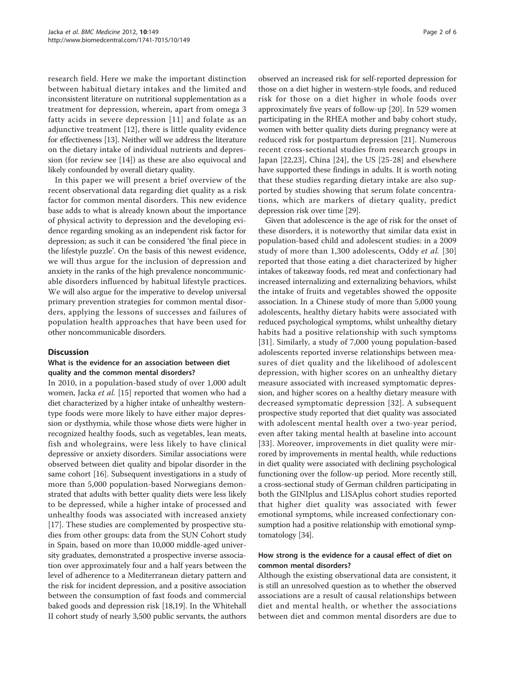research field. Here we make the important distinction between habitual dietary intakes and the limited and inconsistent literature on nutritional supplementation as a treatment for depression, wherein, apart from omega 3 fatty acids in severe depression [[11](#page-4-0)] and folate as an adjunctive treatment [\[12](#page-4-0)], there is little quality evidence for effectiveness [[13](#page-4-0)]. Neither will we address the literature on the dietary intake of individual nutrients and depression (for review see [[14\]](#page-4-0)) as these are also equivocal and likely confounded by overall dietary quality.

In this paper we will present a brief overview of the recent observational data regarding diet quality as a risk factor for common mental disorders. This new evidence base adds to what is already known about the importance of physical activity to depression and the developing evidence regarding smoking as an independent risk factor for depression; as such it can be considered 'the final piece in the lifestyle puzzle'. On the basis of this newest evidence, we will thus argue for the inclusion of depression and anxiety in the ranks of the high prevalence noncommunicable disorders influenced by habitual lifestyle practices. We will also argue for the imperative to develop universal primary prevention strategies for common mental disorders, applying the lessons of successes and failures of population health approaches that have been used for other noncommunicable disorders.

## **Discussion**

# What is the evidence for an association between diet quality and the common mental disorders?

In 2010, in a population-based study of over 1,000 adult women, Jacka et al. [\[15](#page-4-0)] reported that women who had a diet characterized by a higher intake of unhealthy westerntype foods were more likely to have either major depression or dysthymia, while those whose diets were higher in recognized healthy foods, such as vegetables, lean meats, fish and wholegrains, were less likely to have clinical depressive or anxiety disorders. Similar associations were observed between diet quality and bipolar disorder in the same cohort [\[16\]](#page-4-0). Subsequent investigations in a study of more than 5,000 population-based Norwegians demonstrated that adults with better quality diets were less likely to be depressed, while a higher intake of processed and unhealthy foods was associated with increased anxiety [[17\]](#page-4-0). These studies are complemented by prospective studies from other groups: data from the SUN Cohort study in Spain, based on more than 10,000 middle-aged university graduates, demonstrated a prospective inverse association over approximately four and a half years between the level of adherence to a Mediterranean dietary pattern and the risk for incident depression, and a positive association between the consumption of fast foods and commercial baked goods and depression risk [\[18,19\]](#page-4-0). In the Whitehall II cohort study of nearly 3,500 public servants, the authors

observed an increased risk for self-reported depression for those on a diet higher in western-style foods, and reduced risk for those on a diet higher in whole foods over approximately five years of follow-up [[20\]](#page-4-0). In 529 women participating in the RHEA mother and baby cohort study, women with better quality diets during pregnancy were at reduced risk for postpartum depression [\[21](#page-4-0)]. Numerous recent cross-sectional studies from research groups in Japan [[22,23](#page-5-0)], China [[24](#page-5-0)], the US [[25-28](#page-5-0)] and elsewhere have supported these findings in adults. It is worth noting that these studies regarding dietary intake are also supported by studies showing that serum folate concentrations, which are markers of dietary quality, predict depression risk over time [[29](#page-5-0)].

Given that adolescence is the age of risk for the onset of these disorders, it is noteworthy that similar data exist in population-based child and adolescent studies: in a 2009 study of more than 1,300 adolescents, Oddy et al. [[30](#page-5-0)] reported that those eating a diet characterized by higher intakes of takeaway foods, red meat and confectionary had increased internalizing and externalizing behaviors, whilst the intake of fruits and vegetables showed the opposite association. In a Chinese study of more than 5,000 young adolescents, healthy dietary habits were associated with reduced psychological symptoms, whilst unhealthy dietary habits had a positive relationship with such symptoms [[31](#page-5-0)]. Similarly, a study of 7,000 young population-based adolescents reported inverse relationships between measures of diet quality and the likelihood of adolescent depression, with higher scores on an unhealthy dietary measure associated with increased symptomatic depression, and higher scores on a healthy dietary measure with decreased symptomatic depression [[32](#page-5-0)]. A subsequent prospective study reported that diet quality was associated with adolescent mental health over a two-year period, even after taking mental health at baseline into account [[33](#page-5-0)]. Moreover, improvements in diet quality were mirrored by improvements in mental health, while reductions in diet quality were associated with declining psychological functioning over the follow-up period. More recently still, a cross-sectional study of German children participating in both the GINIplus and LISAplus cohort studies reported that higher diet quality was associated with fewer emotional symptoms, while increased confectionary consumption had a positive relationship with emotional symptomatology [\[34\]](#page-5-0).

# How strong is the evidence for a causal effect of diet on common mental disorders?

Although the existing observational data are consistent, it is still an unresolved question as to whether the observed associations are a result of causal relationships between diet and mental health, or whether the associations between diet and common mental disorders are due to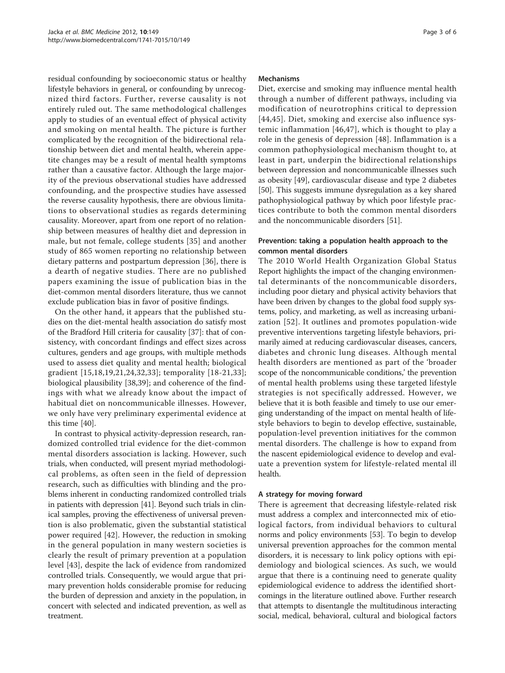residual confounding by socioeconomic status or healthy lifestyle behaviors in general, or confounding by unrecognized third factors. Further, reverse causality is not entirely ruled out. The same methodological challenges apply to studies of an eventual effect of physical activity and smoking on mental health. The picture is further complicated by the recognition of the bidirectional relationship between diet and mental health, wherein appetite changes may be a result of mental health symptoms rather than a causative factor. Although the large majority of the previous observational studies have addressed confounding, and the prospective studies have assessed the reverse causality hypothesis, there are obvious limitations to observational studies as regards determining causality. Moreover, apart from one report of no relationship between measures of healthy diet and depression in male, but not female, college students [\[35](#page-5-0)] and another study of 865 women reporting no relationship between dietary patterns and postpartum depression [\[36\]](#page-5-0), there is a dearth of negative studies. There are no published papers examining the issue of publication bias in the diet-common mental disorders literature, thus we cannot exclude publication bias in favor of positive findings.

On the other hand, it appears that the published studies on the diet-mental health association do satisfy most of the Bradford Hill criteria for causality [\[37](#page-5-0)]: that of consistency, with concordant findings and effect sizes across cultures, genders and age groups, with multiple methods used to assess diet quality and mental health; biological gradient [\[15](#page-4-0),[18,19,21](#page-4-0),[24,32](#page-5-0),[33\]](#page-5-0); temporality [[18](#page-4-0)-[21](#page-4-0),[33](#page-5-0)]; biological plausibility [\[38](#page-5-0),[39](#page-5-0)]; and coherence of the findings with what we already know about the impact of habitual diet on noncommunicable illnesses. However, we only have very preliminary experimental evidence at this time [\[40](#page-5-0)].

In contrast to physical activity-depression research, randomized controlled trial evidence for the diet-common mental disorders association is lacking. However, such trials, when conducted, will present myriad methodological problems, as often seen in the field of depression research, such as difficulties with blinding and the problems inherent in conducting randomized controlled trials in patients with depression [\[41\]](#page-5-0). Beyond such trials in clinical samples, proving the effectiveness of universal prevention is also problematic, given the substantial statistical power required [[42\]](#page-5-0). However, the reduction in smoking in the general population in many western societies is clearly the result of primary prevention at a population level [[43\]](#page-5-0), despite the lack of evidence from randomized controlled trials. Consequently, we would argue that primary prevention holds considerable promise for reducing the burden of depression and anxiety in the population, in concert with selected and indicated prevention, as well as treatment.

### Mechanisms

Diet, exercise and smoking may influence mental health through a number of different pathways, including via modification of neurotrophins critical to depression [[44,45](#page-5-0)]. Diet, smoking and exercise also influence systemic inflammation [\[46,47](#page-5-0)], which is thought to play a role in the genesis of depression [\[48](#page-5-0)]. Inflammation is a common pathophysiological mechanism thought to, at least in part, underpin the bidirectional relationships between depression and noncommunicable illnesses such as obesity [\[49\]](#page-5-0), cardiovascular disease and type 2 diabetes [[50\]](#page-5-0). This suggests immune dysregulation as a key shared pathophysiological pathway by which poor lifestyle practices contribute to both the common mental disorders and the noncommunicable disorders [\[51](#page-5-0)].

# Prevention: taking a population health approach to the common mental disorders

The 2010 World Health Organization Global Status Report highlights the impact of the changing environmental determinants of the noncommunicable disorders, including poor dietary and physical activity behaviors that have been driven by changes to the global food supply systems, policy, and marketing, as well as increasing urbanization [[52](#page-5-0)]. It outlines and promotes population-wide preventive interventions targeting lifestyle behaviors, primarily aimed at reducing cardiovascular diseases, cancers, diabetes and chronic lung diseases. Although mental health disorders are mentioned as part of the 'broader scope of the noncommunicable conditions,' the prevention of mental health problems using these targeted lifestyle strategies is not specifically addressed. However, we believe that it is both feasible and timely to use our emerging understanding of the impact on mental health of lifestyle behaviors to begin to develop effective, sustainable, population-level prevention initiatives for the common mental disorders. The challenge is how to expand from the nascent epidemiological evidence to develop and evaluate a prevention system for lifestyle-related mental ill health.

# A strategy for moving forward

There is agreement that decreasing lifestyle-related risk must address a complex and interconnected mix of etiological factors, from individual behaviors to cultural norms and policy environments [\[53\]](#page-5-0). To begin to develop universal prevention approaches for the common mental disorders, it is necessary to link policy options with epidemiology and biological sciences. As such, we would argue that there is a continuing need to generate quality epidemiological evidence to address the identified shortcomings in the literature outlined above. Further research that attempts to disentangle the multitudinous interacting social, medical, behavioral, cultural and biological factors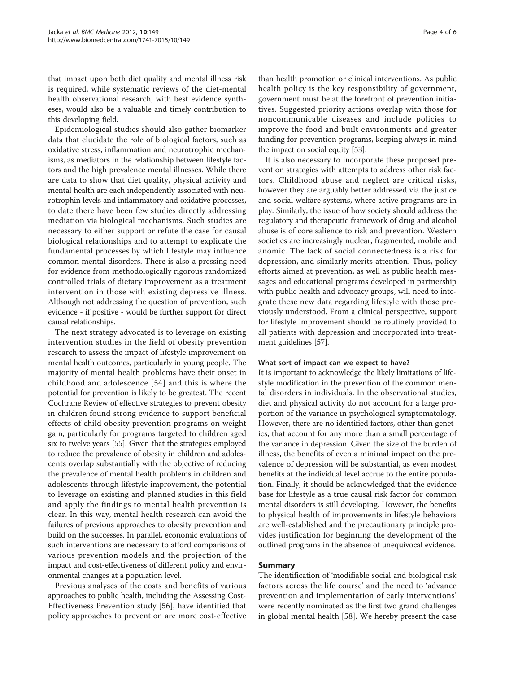that impact upon both diet quality and mental illness risk is required, while systematic reviews of the diet-mental health observational research, with best evidence syntheses, would also be a valuable and timely contribution to this developing field.

Epidemiological studies should also gather biomarker data that elucidate the role of biological factors, such as oxidative stress, inflammation and neurotrophic mechanisms, as mediators in the relationship between lifestyle factors and the high prevalence mental illnesses. While there are data to show that diet quality, physical activity and mental health are each independently associated with neurotrophin levels and inflammatory and oxidative processes, to date there have been few studies directly addressing mediation via biological mechanisms. Such studies are necessary to either support or refute the case for causal biological relationships and to attempt to explicate the fundamental processes by which lifestyle may influence common mental disorders. There is also a pressing need for evidence from methodologically rigorous randomized controlled trials of dietary improvement as a treatment intervention in those with existing depressive illness. Although not addressing the question of prevention, such evidence - if positive - would be further support for direct causal relationships.

The next strategy advocated is to leverage on existing intervention studies in the field of obesity prevention research to assess the impact of lifestyle improvement on mental health outcomes, particularly in young people. The majority of mental health problems have their onset in childhood and adolescence [[54](#page-5-0)] and this is where the potential for prevention is likely to be greatest. The recent Cochrane Review of effective strategies to prevent obesity in children found strong evidence to support beneficial effects of child obesity prevention programs on weight gain, particularly for programs targeted to children aged six to twelve years [\[55](#page-5-0)]. Given that the strategies employed to reduce the prevalence of obesity in children and adolescents overlap substantially with the objective of reducing the prevalence of mental health problems in children and adolescents through lifestyle improvement, the potential to leverage on existing and planned studies in this field and apply the findings to mental health prevention is clear. In this way, mental health research can avoid the failures of previous approaches to obesity prevention and build on the successes. In parallel, economic evaluations of such interventions are necessary to afford comparisons of various prevention models and the projection of the impact and cost-effectiveness of different policy and environmental changes at a population level.

Previous analyses of the costs and benefits of various approaches to public health, including the Assessing Cost-Effectiveness Prevention study [[56\]](#page-5-0), have identified that policy approaches to prevention are more cost-effective

than health promotion or clinical interventions. As public health policy is the key responsibility of government, government must be at the forefront of prevention initiatives. Suggested priority actions overlap with those for noncommunicable diseases and include policies to improve the food and built environments and greater funding for prevention programs, keeping always in mind the impact on social equity [[53](#page-5-0)].

It is also necessary to incorporate these proposed prevention strategies with attempts to address other risk factors. Childhood abuse and neglect are critical risks, however they are arguably better addressed via the justice and social welfare systems, where active programs are in play. Similarly, the issue of how society should address the regulatory and therapeutic framework of drug and alcohol abuse is of core salience to risk and prevention. Western societies are increasingly nuclear, fragmented, mobile and anomic. The lack of social connectedness is a risk for depression, and similarly merits attention. Thus, policy efforts aimed at prevention, as well as public health messages and educational programs developed in partnership with public health and advocacy groups, will need to integrate these new data regarding lifestyle with those previously understood. From a clinical perspective, support for lifestyle improvement should be routinely provided to all patients with depression and incorporated into treatment guidelines [[57](#page-5-0)].

#### What sort of impact can we expect to have?

It is important to acknowledge the likely limitations of lifestyle modification in the prevention of the common mental disorders in individuals. In the observational studies, diet and physical activity do not account for a large proportion of the variance in psychological symptomatology. However, there are no identified factors, other than genetics, that account for any more than a small percentage of the variance in depression. Given the size of the burden of illness, the benefits of even a minimal impact on the prevalence of depression will be substantial, as even modest benefits at the individual level accrue to the entire population. Finally, it should be acknowledged that the evidence base for lifestyle as a true causal risk factor for common mental disorders is still developing. However, the benefits to physical health of improvements in lifestyle behaviors are well-established and the precautionary principle provides justification for beginning the development of the outlined programs in the absence of unequivocal evidence.

# Summary

The identification of 'modifiable social and biological risk factors across the life course' and the need to 'advance prevention and implementation of early interventions' were recently nominated as the first two grand challenges in global mental health [\[58](#page-5-0)]. We hereby present the case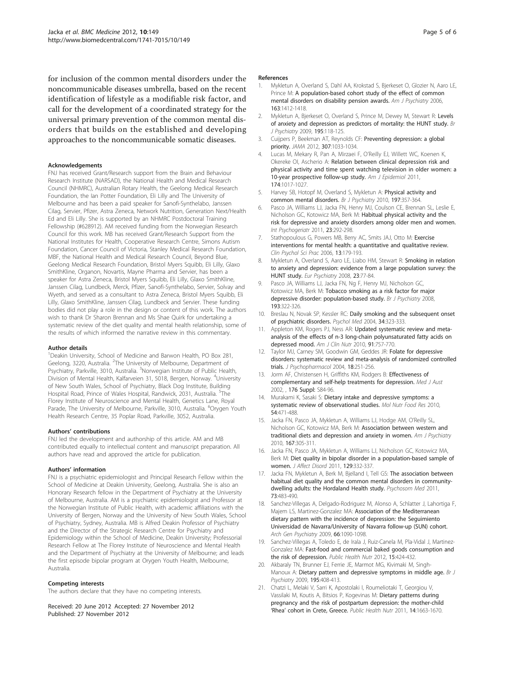<span id="page-4-0"></span>for inclusion of the common mental disorders under the noncommunicable diseases umbrella, based on the recent identification of lifestyle as a modifiable risk factor, and call for the development of a coordinated strategy for the universal primary prevention of the common mental disorders that builds on the established and developing approaches to the noncommunicable somatic diseases.

#### Acknowledgements

FNJ has received Grant/Research support from the Brain and Behaviour Research Institute (NARSAD), the National Health and Medical Research Council (NHMRC), Australian Rotary Health, the Geelong Medical Research Foundation, the Ian Potter Foundation, Eli Lilly and The University of Melbourne and has been a paid speaker for Sanofi-Synthelabo, Janssen Cilag, Servier, Pfizer, Astra Zeneca, Network Nutrition, Generation Next/Health Ed and Eli Lilly. She is supported by an NHMRC Postdoctoral Training Fellowship (#628912). AM received funding from the Norwegian Research Council for this work. MB has received Grant/Research Support from the National Institutes for Health, Cooperative Research Centre, Simons Autism Foundation, Cancer Council of Victoria, Stanley Medical Research Foundation, MBF, the National Health and Medical Research Council, Beyond Blue, Geelong Medical Research Foundation, Bristol Myers Squibb, Eli Lilly, Glaxo SmithKline, Organon, Novartis, Mayne Pharma and Servier, has been a speaker for Astra Zeneca, Bristol Myers Squibb, Eli Lilly, Glaxo SmithKline, Janssen Cilag, Lundbeck, Merck, Pfizer, Sanofi-Synthelabo, Servier, Solvay and Wyeth, and served as a consultant to Astra Zeneca, Bristol Myers Squibb, Fli Lilly, Glaxo SmithKline, Janssen Cilag, Lundbeck and Servier. These funding bodies did not play a role in the design or content of this work. The authors wish to thank Dr Sharon Brennan and Ms Shae Quirk for undertaking a systematic review of the diet quality and mental health relationship, some of the results of which informed the narrative review in this commentary.

#### Author details

<sup>1</sup> Deakin University, School of Medicine and Barwon Health, PO Box 281, Geelong, 3220, Australia. <sup>2</sup>The University of Melbourne, Department of Psychiatry, Parkville, 3010, Australia. <sup>3</sup>Norwegian Institute of Public Health, Division of Mental Health, Kalfarveien 31, 5018, Bergen, Norway. <sup>4</sup>University of New South Wales, School of Psychiatry, Black Dog Institute, Building Hospital Road, Prince of Wales Hospital, Randwick, 2031, Australia. <sup>5</sup>The Florey Institute of Neuroscience and Mental Health, Genetics Lane, Royal Parade, The University of Melbourne, Parkville, 3010, Australia. <sup>6</sup>Orygen Youth Health Research Centre, 35 Poplar Road, Parkville, 3052, Australia.

#### Authors' contributions

FNJ led the development and authorship of this article. AM and MB contributed equally to intellectual content and manuscript preparation. All authors have read and approved the article for publication.

#### Authors' information

FNJ is a psychiatric epidemiologist and Principal Research Fellow within the School of Medicine at Deakin University, Geelong, Australia. She is also an Honorary Research fellow in the Department of Psychiatry at the University of Melbourne, Australia. AM is a psychiatric epidemiologist and Professor at the Norwegian Institute of Public Health, with academic affiliations with the University of Bergen, Norway and the University of New South Wales, School of Psychiatry, Sydney, Australia. MB is Alfred Deakin Professor of Psychiatry and the Director of the Strategic Research Centre for Psychiatry and Epidemiology within the School of Medicine, Deakin University; Professorial Research Fellow at The Florey Institute of Neuroscience and Mental Health and the Department of Psychiatry at the University of Melbourne; and leads the first episode bipolar program at Orygen Youth Health, Melbourne, Australia.

#### Competing interests

The authors declare that they have no competing interests.

Received: 20 June 2012 Accepted: 27 November 2012 Published: 27 November 2012

#### References

- 1. Mykletun A, Overland S, Dahl AA, Krokstad S, Bjerkeset O, Glozier N, Aaro LE, Prince M: [A population-based cohort study of the effect of common](http://www.ncbi.nlm.nih.gov/pubmed/16877655?dopt=Abstract) [mental disorders on disability pension awards.](http://www.ncbi.nlm.nih.gov/pubmed/16877655?dopt=Abstract) Am J Psychiatry 2006, 163:1412-1418.
- 2. Mykletun A, Bjerkeset O, Overland S, Prince M, Dewey M, Stewart R: [Levels](http://www.ncbi.nlm.nih.gov/pubmed/19648541?dopt=Abstract) [of anxiety and depression as predictors of mortality: the HUNT study.](http://www.ncbi.nlm.nih.gov/pubmed/19648541?dopt=Abstract) Br J Psychiatry 2009, 195:118-125.
- Cuijpers P, Beekman AT, Reynolds CF: [Preventing depression: a global](http://www.ncbi.nlm.nih.gov/pubmed/22416097?dopt=Abstract) [priority.](http://www.ncbi.nlm.nih.gov/pubmed/22416097?dopt=Abstract) JAMA 2012, 307:1033-1034.
- 4. Lucas M, Mekary R, Pan A, Mirzaei F, O'Reilly EJ, Willett WC, Koenen K, Okereke OI, Ascherio A: [Relation between clinical depression risk and](http://www.ncbi.nlm.nih.gov/pubmed/21984659?dopt=Abstract) [physical activity and time spent watching television in older women: a](http://www.ncbi.nlm.nih.gov/pubmed/21984659?dopt=Abstract) [10-year prospective follow-up study.](http://www.ncbi.nlm.nih.gov/pubmed/21984659?dopt=Abstract) Am J Epidemiol 2011, 174:1017-1027.
- 5. Harvey SB, Hotopf M, Overland S, Mykletun A: [Physical activity and](http://www.ncbi.nlm.nih.gov/pubmed/21037212?dopt=Abstract) [common mental disorders.](http://www.ncbi.nlm.nih.gov/pubmed/21037212?dopt=Abstract) Br J Psychiatry 2010, 197:357-364.
- 6. Pasco JA, Williams LJ, Jacka FN, Henry MJ, Coulson CE, Brennan SL, Leslie E, Nicholson GC, Kotowicz MA, Berk M: [Habitual physical activity and the](http://www.ncbi.nlm.nih.gov/pubmed/20863424?dopt=Abstract) [risk for depressive and anxiety disorders among older men and women.](http://www.ncbi.nlm.nih.gov/pubmed/20863424?dopt=Abstract) Int Psychogeriatr 2011, 23:292-298.
- 7. Stathopoulous G, Powers MB, Berry AC, Smits JAJ, Otto M: Exercise interventions for mental health: a quantitative and qualitative review. Clin Psychol Sci Prac 2006, 13:179-193.
- 8. Mykletun A, Overland S, Aaro LE, Liabo HM, Stewart R: [Smoking in relation](http://www.ncbi.nlm.nih.gov/pubmed/18082377?dopt=Abstract) [to anxiety and depression: evidence from a large population survey: the](http://www.ncbi.nlm.nih.gov/pubmed/18082377?dopt=Abstract) [HUNT study.](http://www.ncbi.nlm.nih.gov/pubmed/18082377?dopt=Abstract) Eur Psychiatry 2008, 23:77-84.
- 9. Pasco JA, Williams LJ, Jacka FN, Ng F, Henry MJ, Nicholson GC, Kotowicz MA, Berk M: [Tobacco smoking as a risk factor for major](http://www.ncbi.nlm.nih.gov/pubmed/18827296?dopt=Abstract) [depressive disorder: population-based study.](http://www.ncbi.nlm.nih.gov/pubmed/18827296?dopt=Abstract) Br J Psychiatry 2008, 193:322-326.
- 10. Breslau N, Novak SP, Kessler RC: [Daily smoking and the subsequent onset](http://www.ncbi.nlm.nih.gov/pubmed/14982138?dopt=Abstract) [of psychiatric disorders.](http://www.ncbi.nlm.nih.gov/pubmed/14982138?dopt=Abstract) Psychol Med 2004, 34:323-333.
- 11. Appleton KM, Rogers PJ, Ness AR: [Updated systematic review and meta](http://www.ncbi.nlm.nih.gov/pubmed/20130098?dopt=Abstract)[analysis of the effects of n-3 long-chain polyunsaturated fatty acids on](http://www.ncbi.nlm.nih.gov/pubmed/20130098?dopt=Abstract) [depressed mood.](http://www.ncbi.nlm.nih.gov/pubmed/20130098?dopt=Abstract) Am J Clin Nutr 2010, 91:757-770.
- 12. Taylor MJ, Carney SM, Goodwin GM, Geddes JR: [Folate for depressive](http://www.ncbi.nlm.nih.gov/pubmed/15260915?dopt=Abstract) [disorders: systematic review and meta-analysis of randomized controlled](http://www.ncbi.nlm.nih.gov/pubmed/15260915?dopt=Abstract) [trials.](http://www.ncbi.nlm.nih.gov/pubmed/15260915?dopt=Abstract) J Psychopharmacol 2004, 18:251-256.
- 13. Jorm AF, Christensen H, Griffiths KM, Rodgers B: Effectiveness of complementary and self-help treatments for depression. Med J Aust 2002. . 176 Suppl: S84-96.
- 14. Murakami K, Sasaki S: [Dietary intake and depressive symptoms: a](http://www.ncbi.nlm.nih.gov/pubmed/19998381?dopt=Abstract) [systematic review of observational studies.](http://www.ncbi.nlm.nih.gov/pubmed/19998381?dopt=Abstract) Mol Nutr Food Res 2010, 54:471-488.
- 15. Jacka FN, Pasco JA, Mykletun A, Williams LJ, Hodge AM, O'Reilly SL, Nicholson GC, Kotowicz MA, Berk M: [Association between western and](http://www.ncbi.nlm.nih.gov/pubmed/20048020?dopt=Abstract) [traditional diets and depression and anxiety in women.](http://www.ncbi.nlm.nih.gov/pubmed/20048020?dopt=Abstract) Am J Psychiatry 2010, 167:305-311.
- 16. Jacka FN, Pasco JA, Mykletun A, Williams LJ, Nicholson GC, Kotowicz MA, Berk M: [Diet quality in bipolar disorder in a population-based sample of](http://www.ncbi.nlm.nih.gov/pubmed/20888648?dopt=Abstract) [women.](http://www.ncbi.nlm.nih.gov/pubmed/20888648?dopt=Abstract) J Affect Disord 2011, 129:332-337.
- 17. Jacka FN, Mykletun A, Berk M, Bjelland I, Tell GS: [The association between](http://www.ncbi.nlm.nih.gov/pubmed/21715296?dopt=Abstract) [habitual diet quality and the common mental disorders in community](http://www.ncbi.nlm.nih.gov/pubmed/21715296?dopt=Abstract)[dwelling adults: the Hordaland Health study.](http://www.ncbi.nlm.nih.gov/pubmed/21715296?dopt=Abstract) Psychosom Med 2011, 73:483-490.
- 18. Sanchez-Villegas A, Delgado-Rodriguez M, Alonso A, Schlatter J, Lahortiga F, Majem LS, Martinez-Gonzalez MA: [Association of the Mediterranean](http://www.ncbi.nlm.nih.gov/pubmed/19805699?dopt=Abstract) [dietary pattern with the incidence of depression: the Seguimiento](http://www.ncbi.nlm.nih.gov/pubmed/19805699?dopt=Abstract) [Universidad de Navarra/University of Navarra follow-up \(SUN\) cohort.](http://www.ncbi.nlm.nih.gov/pubmed/19805699?dopt=Abstract) Arch Gen Psychiatry 2009, 66:1090-1098.
- 19. Sanchez-Villegas A, Toledo E, de Irala J, Ruiz-Canela M, Pla-Vidal J, Martinez-Gonzalez MA: [Fast-food and commercial baked goods consumption and](http://www.ncbi.nlm.nih.gov/pubmed/21835082?dopt=Abstract) [the risk of depression.](http://www.ncbi.nlm.nih.gov/pubmed/21835082?dopt=Abstract) Public Health Nutr 2012, 15:424-432.
- 20. Akbaraly TN, Brunner EJ, Ferrie JE, Marmot MG, Kivimaki M, Singh-Manoux A: [Dietary pattern and depressive symptoms in middle age.](http://www.ncbi.nlm.nih.gov/pubmed/19880930?dopt=Abstract) Br J Psychiatry 2009, 195:408-413.
- 21. Chatzi L, Melaki V, Sarri K, Apostolaki I, Roumeliotaki T, Georgiou V, Vassilaki M, Koutis A, Bitsios P, Kogevinas M: [Dietary patterns during](http://www.ncbi.nlm.nih.gov/pubmed/21477412?dopt=Abstract) [pregnancy and the risk of postpartum depression: the mother-child](http://www.ncbi.nlm.nih.gov/pubmed/21477412?dopt=Abstract) 'Rhea' [cohort in Crete, Greece.](http://www.ncbi.nlm.nih.gov/pubmed/21477412?dopt=Abstract) Public Health Nutr 2011, 14:1663-1670.